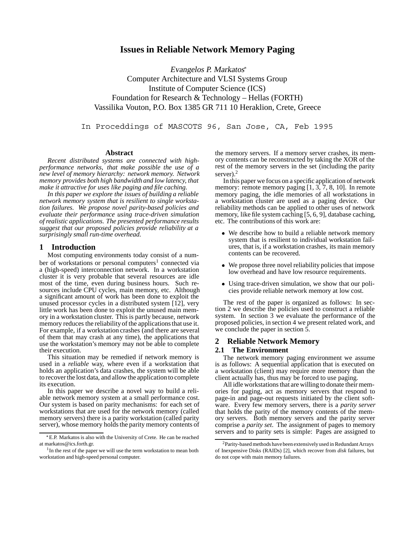# **Issues in Reliable Network Memory Paging**

Evangelos P. Markatos Computer Architecture and VLSI Systems Group Institute of Computer Science (ICS) Foundation for Research & Technology – Hellas (FORTH) Vassilika Vouton, P.O. Box 1385 GR 711 10 Heraklion, Crete, Greece

In Proceddings of MASCOTS 96, San Jose, CA, Feb 1995

#### **Abstract**

*Recent distributed systems are connected with highperformance networks, that make possible the use of a new level of memory hierarchy: network memory. Network memory provides both high bandwidth and low latency, that make it attractive for uses like paging and file caching.*

*In this paper we explore the issues of building a reliable network memory system that is resilient to single workstation failures. We propose novel parity-based policies and evaluate their performance using trace-driven simulation of realistic applications. The presented performance results suggest that our proposed policies provide reliability at a surprisingly small run-time overhead.*

## **1 Introduction**

Most computing environments today consist of a number of workstations or personal computers<sup>1</sup> connected via a (high-speed) interconnection network. In a workstation cluster it is very probable that several resources are idle most of the time, even during business hours. Such resources include CPU cycles, main memory, etc. Although a significant amount of work has been done to exploit the unused processor cycles in a distributed system [12], very little work has been done to exploit the unused main memory in a workstation cluster. This is partly because, network memory reduces the reliabilityof the applications that use it. For example, if a workstation crashes (and there are several of them that may crash at any time), the applications that use the workstation's memory may not be able to complete their execution.

This situation may be remedied if network memory is used in a *reliable* way, where even if a workstation that holds an application's data crashes, the system will be able to recover the lost data, and allow the application to complete its execution.

In this paper we describe a novel way to build a reliable network memory system at a small performance cost. Our system is based on parity mechanisms: for each set of workstations that are used for the network memory (called memory servers) there is a parity workstation (called parity server), whose memory holds the parity memory contents of

the memory servers. If a memory server crashes, its memory contents can be reconstructed by taking the XOR of the rest of the memory servers in the set (including the parity server).<sup>2</sup>

In this paper we focus on a specific application of network memory: remote memory paging  $[1, 3, 7, 8, 10]$ . In remote memory paging, the idle memories of all workstations in a workstation cluster are used as a paging device. Our reliability methods can be applied to other uses of network memory, like file system caching [5, 6, 9], database caching, etc. The contributions of this work are:

- We describe how to build a reliable network memory system that is resilient to individual workstation failures, that is, if a workstation crashes, its main memory contents can be recovered.
- We propose three novel reliability policies that impose low overhead and have low resource requirements.
- Using trace-driven simulation, we show that our policies provide reliable network memory at low cost.

The rest of the paper is organized as follows: In section 2 we describe the policies used to construct a reliable system. In section 3 we evaluate the performance of the proposed policies, in section 4 we present related work, and we conclude the paper in section 5.

## **2 Reliable Network Memory**

#### **2.1 The Environment**

The network memory paging environment we assume is as follows: A sequential application that is executed on a workstation (client) may require more memory than the client actually has, thus may be forced to use paging.

All idle workstations that are willing to donate their memories for paging, act as memory servers that respond to page-in and page-out requests initiated by the client software. Every few memory servers, there is a *parity server* that holds the parity of the memory contents of the memory servers. Both memory servers and the parity server comprise a *parity set*. The assignment of pages to memory servers and to parity sets is simple: Pages are assigned to

E.P. Markatos is also with the University of Crete. He can be reached at markatos@ics.forth.gr.

<sup>&</sup>lt;sup>1</sup>In the rest of the paper we will use the term workstation to mean both workstation and high-speed personal computer.

<sup>2</sup>Parity-based methods havebeen extensivelyused in RedundantArrays of Inexpensive Disks (RAIDs) [2], which recover from *disk* failures, but do not cope with main memory failures.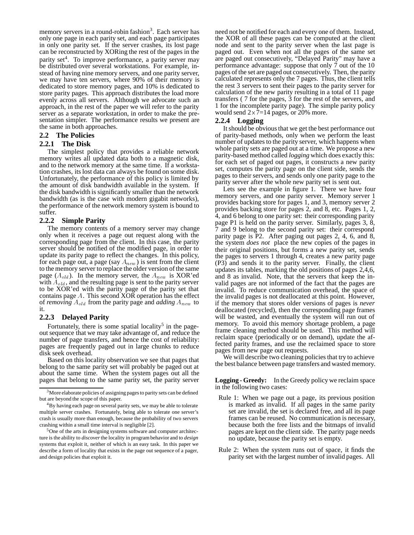memory servers in a round-robin fashion<sup>3</sup>. Each server has only one page in each parity set, and each page participates in only one parity set. If the server crashes, its lost page can be reconstructed by XORing the rest of the pages in the parity set<sup>4</sup>. To improve performance, a parity server may be distributed over several workstations. For example, instead of having nine memory servers, and one parity server, we may have ten servers, where 90% of their memory is dedicated to store memory pages, and 10% is dedicated to store parity pages. This approach distributes the load more evenly across all servers. Although we advocate such an approach, in the rest of the paper we will refer to the parity server as a separate workstation, in order to make the presentation simpler. The performance results we present are the same in both approaches.

## **2.2 The Policies**

#### **2.2.1 The Disk**

The simplest policy that provides a reliable network memory writes all updated data both to a magnetic disk, and to the network memory at the same time. If a workstation crashes, its lost data can always be found on some disk. Unfortunately, the performance of this policy is limited by the amount of disk bandwidth available in the system. If the disk bandwidth is significantly smaller than the network bandwidth (as is the case with modern gigabit networks), the performance of the network memory system is bound to suffer.

#### **2.2.2 Simple Parity**

The memory contents of a memory server may change only when it receives a page out request along with the corresponding page from the client. In this case, the parity server should be notified of the modified page, in order to update its parity page to reflect the changes. In this policy, for each page out, a page (say  $A_{new}$ ) is sent from the client to the memory server to replace the older version of the same page  $(A_{old})$ . In the memory server, the  $A_{new}$  is XOR'ed with  $A_{old}$ , and the resulting page is sent to the parity server to be XOR'ed with the parity page of the parity set that contains page <sup>A</sup>. This second XOR operation has the effect of *removing*  $A_{old}$  from the parity page and *adding*  $A_{new}$  to it.

## **2.2.3 Delayed Parity**

Fortunately, there is some spatial locality<sup>5</sup> in the pageout sequence that we may take advantage of, and reduce the number of page transfers, and hence the cost of reliability: pages are frequently paged out in large chunks to reduce disk seek overhead.

Based on this locality observation we see that pages that belong to the same parity set will probably be paged out at about the same time. When the system pages out all the pages that belong to the same parity set, the parity server

need not be notified for each and every one of them. Instead, the XOR of all these pages can be computed at the client node and sent to the parity server when the last page is paged out. Even when not all the pages of the same set are paged out consecutively, "Delayed Parity" may have a performance advantage: suppose that only 7 out of the 10 pages of the set are paged out consecutively. Then, the parity calculated represents only the 7 pages. Thus, the client tells the rest 3 servers to sent their pages to the parity server for calculation of the new parity resulting in a total of 11 page transfers ( 7 for the pages, 3 for the rest of the servers, and 1 for the incomplete parity page). The simple parity policy would send  $2\times 7=14$  pages, or 20% more.

#### **2.2.4 Logging**

It should be obvious that we get the best performance out of parity-based methods, only when we perform the least number of updates to the parity server, which happens when whole parity sets are paged out at a time. We propose a new parity-based method called *logging* which does exactly this: for each set of paged out pages, it constructs a new parity set, computes the parity page on the client side, sends the pages to their servers, and sends only one parity page to the parity server after the whole new parity set is sent out.

Lets see the example in figure 1. There we have four memory servers, and one parity server. Memory server 1 provides backing store for pages 1, and 3, memory server 2 provides backing store for pages 2, and 8, etc. Pages 1, 2, 4, and 6 belong to one parity set: their corresponding parity page P1 is held on the parity server. Similarly, pages 3, 8, 7 and 9 belong to the second parity set: their correspond parity page is P2. After paging out pages 2, 4, 6, and 8, the system *does not* place the new copies of the pages in their original positions, but forms a new parity set, sends the pages to servers 1 through 4, creates a new parity page (P3) and sends it to the parity server. Finally, the client updates its tables, marking the old positions of pages 2,4,6, and 8 as invalid. Note, that the servers that keep the invalid pages are not informed of the fact that the pages are invalid. To reduce communication overhead, the space of the invalid pages is not deallocated at this point. However, if the memory that stores older versions of pages is *never* deallocated (recycled), then the corresponding page frames will be wasted, and eventually the system will run out of memory. To avoid this memory shortage problem, a page frame cleaning method should be used. This method will reclaim space (periodically or on demand), update the affected parity frames, and use the reclaimed space to store pages from new page out requests.

We will describe two cleaning policies that try to achieve the best balance between page transfers and wasted memory.

**Logging - Greedy:** In the Greedy policy we reclaim space in the following two cases:

- Rule 1: When we page out a page, its previous position is marked as invalid. If all pages in the same parity set are invalid, the set is declared free, and all its page frames can be reused. No communication is necessary, because both the free lists and the bitmaps of invalid pages are kept on the client side. The parity page needs no update, because the parity set is empty.
- Rule 2: When the system runs out of space, it finds the parity set with the largest number of invalid pages. All

<sup>&</sup>lt;sup>3</sup>More elaborate policies of assigning pages to parity sets can be defined but are beyond the scope of this paper.

<sup>&</sup>lt;sup>4</sup>By having each page on several parity sets, we may be able to tolerate multiple server crashes. Fortunately, being able to tolerate one server's crash is usually more than enough, because the probability of two servers crashing within a small time interval is negligible [2].

<sup>&</sup>lt;sup>5</sup>One of the arts in designing systems software and computer architecture is the ability to *discover*the locality in program behavior and to *design* systems that exploit it, neither of which is an easy task. In this paper we describe a form of locality that exists in the page out sequence of a pager, and design policies that exploit it.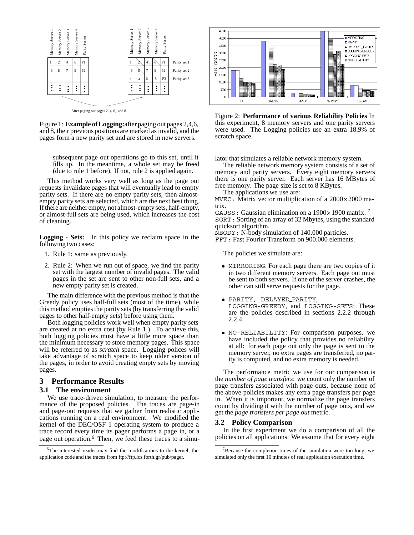

Figure 1: **Example of Logging:**after paging out pages 2,4,6, and 8, their previous positions are marked as invalid, and the pages form a new parity set and are stored in new servers.

subsequent page out operations go to this set, until it fills up. In the meantime, a whole set may be freed (due to rule 1 before). If not, rule 2 is applied again.

This method works very well as long as the page out requests invalidate pages that will eventually lead to empty parity sets. If there are no empty parity sets, then almostempty parity sets are selected, which are the next best thing. If there are neither empty, not almost-empty sets, half-empty, or almost-full sets are being used, which increases the cost of cleaning.

**Logging - Sets:** In this policy we reclaim space in the following two cases:

- 1. Rule 1: same as previously.
- 2. Rule 2: When we run out of space, we find the parity set with the largest number of invalid pages. The valid pages in the set are sent to other non-full sets, and a new empty parity set is created.

The main difference with the previous method is that the Greedy policy uses half-full sets (most of the time), while this method empties the parity sets (by transferring the valid pages to other half-empty sets) before using them.

Both logging policies work well when empty parity sets are created at no extra cost (by Rule 1.). To achieve this, both logging policies must have a little more space than the minimum necessary to store memory pages. This space will be referred to as *scratch* space. Logging polices will take advantage of scratch space to keep older version of the pages, in order to avoid creating empty sets by moving pages.

#### **3 Performance Results**

### **3.1 The environment**

We use trace-driven simulation, to measure the performance of the proposed policies. The traces are page-in and page-out requests that we gather from realistic applications running on a real environment. We modified the kernel of the DEC/OSF 1 operating system to produce a trace record every time its pager performs a page in, or a page out operation.<sup>6</sup> Then, we feed these traces to a simu-



Figure 2: **Performance of various Reliability Policies** In this experiment, 8 memory servers and one parity servers were used. The Logging policies use an extra 18.9% of scratch space.

lator that simulates a reliable network memory system.

The reliable network memory system consists of a set of memory and parity servers. Every eight memory servers there is one parity server. Each server has 16 MBytes of free memory. The page size is set to 8 KBytes.

The applications we use are:

MVEC: Matrix vector multiplication of a  $2000 \times 2000$  matrix.

GAUSS: Gaussian elimination on a  $1900 \times 1900$  matrix. <sup>7</sup> SORT: Sorting of an array of 32 Mbytes, using the standard quicksort algorithm.

NBODY: N-body simulation of 140.000 particles.

FFT: Fast Fourier Transform on 900.000 elements.

The policies we simulate are:

- MIRRORING: For each page there are two copies of it in two different memory servers. Each page out must be sent to both servers. If one of the server crashes, the other can still serve requests for the page.
- PARITY, DELAYED PARITY, LOGGING-GREEDY, and LOGGING-SETS: These are the policies described in sections 2.2.2 through 2.2.4.
- NO-RELIABILITY: For comparison purposes, we have included the policy that provides no reliability at all: for each page out only the page is sent to the memory server, no extra pages are transferred, no parity is computed, and no extra memory is needed.

The performance metric we use for our comparison is the *number of page transfers*: we count only the number of page transfers associated with page outs, because none of the above policies makes any extra page transfers per page in. When it is important, we normalize the page transfers count by dividing it with the number of page outs, and we get the *page transfers per page out* metric.

#### **3.2 Policy Comparison**

In the first experiment we do a comparison of all the policies on all applications. We assume that for every eight

<sup>6</sup>The interested reader may find the modifications to the kernel, the application code and the traces from ftp://ftp.ics.forth.gr/pub/pager.

 $7B$  Because the completion times of the simulation were too long, we simulated only the first 10 minutes of real application execution time.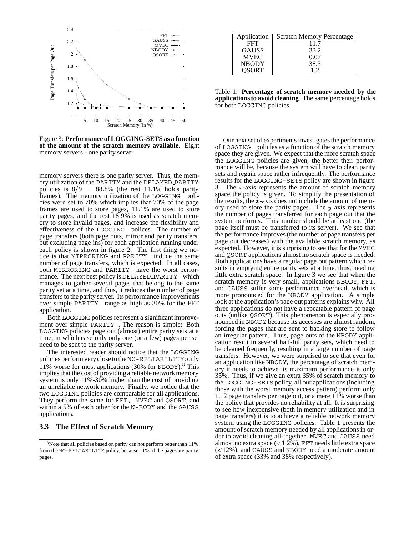

Figure 3: **Performance of LOGGING-SETS as a function of the amount of the scratch memory available.** Eight memory servers - one parity server

memory servers there is one parity server. Thus, the memory utilization of the PARITY and the DELAYED PARITY policies is  $8/9 = 88.8\%$  (the rest 11.1% holds parity frames). The memory utilization of the LOGGING policies were set to 70% which implies that 70% of the page frames are used to store pages, 11.1% are used to store parity pages, and the rest 189% is used as scratch memory to store invalid pages, and increase the flexibility and effectiveness of the LOGGING polices. The number of page transfers (both page outs, mirror and parity transfers, but excluding page ins) for each application running under each policy is shown in figure 2. The first thing we notice is that MIRRORING and PARITY induce the same number of page transfers, which is expected. In all cases, both MIRRORING and PARITY have the worst performance. The next best policy is DELAYED PARITY which manages to gather several pages that belong to the same parity set at a time, and thus, it reduces the number of page transfers to the parity server. Its performance improvements over simple PARITY range as high as 30% for the FFT application.

Both LOGGING policies represent a significant improvement over simple PARITY . The reason is simple: Both LOGGING policies page out (almost) entire parity sets at a time, in which case only only one (or a few) pages per set need to be sent to the parity server.

The interested reader should notice that the LOGGING policies perform very close to theNO-RELIABILITY: only 11% worse for most applications (30% for NBODY).<sup>8</sup> This implies that the cost of providinga reliable network memory system is only 11%-30% higher than the cost of providing an unreliable network memory. Finally, we notice that the two LOGGING policies are comparable for all applications. They perform the same for FFT, MVEC and QSORT, and within a 5% of each other for the N-BODY and the GAUSS applications.

#### **3.3 The Effect of Scratch Memory**

| Application  | <b>Scratch Memory Percentage</b> |
|--------------|----------------------------------|
| FFT          |                                  |
| <b>GAUSS</b> | 33.2                             |
| <b>MVEC</b>  | 0.07                             |
| <b>NBODY</b> | 38.3                             |
| OSORT        |                                  |

Table 1: **Percentage of scratch memory needed by the applications to avoid cleaning**. The same percentage holds for both LOGGING policies.

Our next set of experiments investigates the performance of LOGGING policies as a function of the scratch memory space they are given. We expect that the more scratch space the LOGGING policies are given, the better their performance will be, because the system will have to clean parity sets and regain space rather infrequently. The performance results for the LOGGING-SETS policy are shown in figure 3. The  $x$ -axis represents the amount of scratch memory space the policy is given. To simplify the presentation of the results, the  $x$ -axis does not include the amount of memory used to store the parity pages. The  $y$  axis represents the number of pages transferred for each page out that the system performs. This number should be at least one (the page itself must be transferred to its server). We see that the performance improves (the number of page transfers per page out decreases) with the available scratch memory, as expected. However, it is surprising to see that for the MVEC and QSORT applications almost no scratch space is needed. Both applications have a regular page out pattern which results in emptying entire parity sets at a time, thus, needing little extra scratch space. In figure 3 we see that when the scratch memory is very small, applications NBODY, FFT, and GAUSS suffer some performance overhead, which is more pronounced for the NBODY application. A simple look at the application's page out patterns explains why. All three applications do not have a repeatable pattern of page outs (unlike QSORT). This phenomenon is especially pronounced in NBODY because its accesses are almost random, forcing the pages that are sent to backing store to follow an irregular pattern. Thus, page outs of the NBODY application result in several half-full parity sets, which need to be cleaned frequently, resulting in a large number of page transfers. However, we were surprised to see that even for an application like NBODY, the percentage of scratch memory it needs to achieve its maximum performance is only 35%. Thus, if we give an extra 35% of scratch memory to the LOGGING-SETS policy, all our applications (including those with the worst memory access pattern) perform only 1.12 page transfers per page out, or a mere 11% worse than the policy that provides no reliability at all. It is surprising to see how inexpensive (both in memory utilization and in page transfers) it is to achieve a reliable network memory system using the LOGGING policies. Table 1 presents the amount of scratch memory needed by all applications in order to avoid cleaning all-together. MVEC and GAUSS need almost no extra space  $\left($  < 1.2%), FFT needs little extra space  $(<$ 12%), and GAUSS and NBODY need a moderate amount of extra space (33% and 38% respectively).

<sup>8</sup>Note that all policies based on parity can not perform better than 11% from the NO-RELIABILITY policy, because 11% of the pages are parity pages.